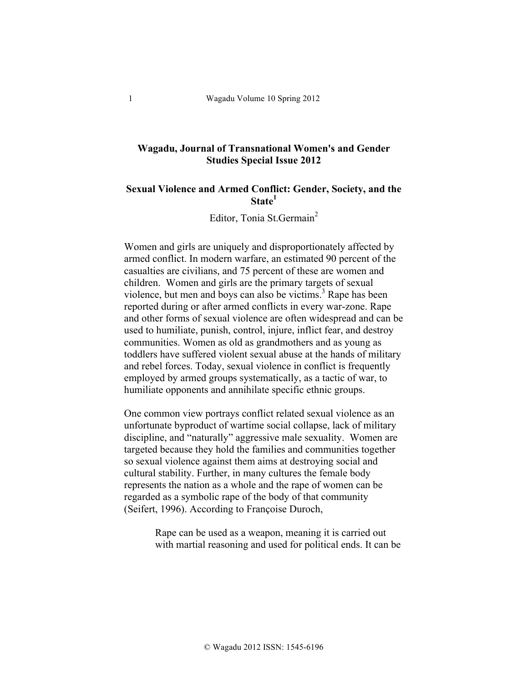# **Wagadu, Journal of Transnational Women's and Gender Studies Special Issue 2012**

## **Sexual Violence and Armed Conflict: Gender, Society, and the State<sup>1</sup>**

Editor, Tonia St.Germain<sup>2</sup>

Women and girls are uniquely and disproportionately affected by armed conflict. In modern warfare, an estimated 90 percent of the casualties are civilians, and 75 percent of these are women and children. Women and girls are the primary targets of sexual violence, but men and boys can also be victims. $3$  Rape has been reported during or after armed conflicts in every war-zone. Rape and other forms of sexual violence are often widespread and can be used to humiliate, punish, control, injure, inflict fear, and destroy communities. Women as old as grandmothers and as young as toddlers have suffered violent sexual abuse at the hands of military and rebel forces. Today, sexual violence in conflict is frequently employed by armed groups systematically, as a tactic of war, to humiliate opponents and annihilate specific ethnic groups.

One common view portrays conflict related sexual violence as an unfortunate byproduct of wartime social collapse, lack of military discipline, and "naturally" aggressive male sexuality. Women are targeted because they hold the families and communities together so sexual violence against them aims at destroying social and cultural stability. Further, in many cultures the female body represents the nation as a whole and the rape of women can be regarded as a symbolic rape of the body of that community (Seifert, 1996). According to Françoise Duroch,

> Rape can be used as a weapon, meaning it is carried out with martial reasoning and used for political ends. It can be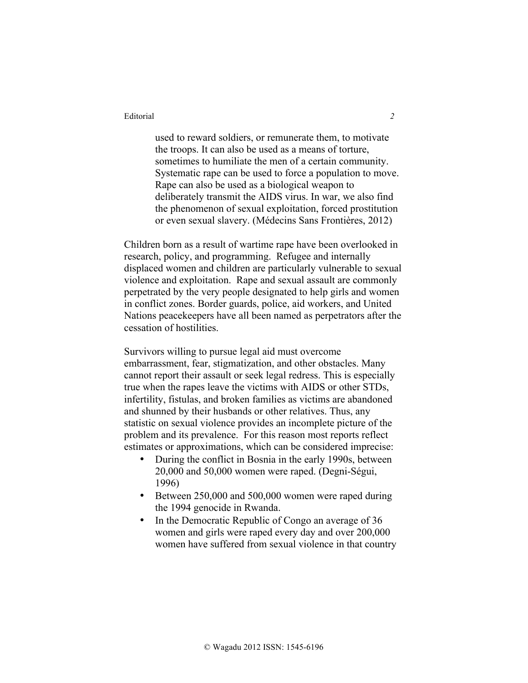used to reward soldiers, or remunerate them, to motivate the troops. It can also be used as a means of torture, sometimes to humiliate the men of a certain community. Systematic rape can be used to force a population to move. Rape can also be used as a biological weapon to deliberately transmit the AIDS virus. In war, we also find the phenomenon of sexual exploitation, forced prostitution or even sexual slavery. (Médecins Sans Frontières, 2012)

Children born as a result of wartime rape have been overlooked in research, policy, and programming. Refugee and internally displaced women and children are particularly vulnerable to sexual violence and exploitation. Rape and sexual assault are commonly perpetrated by the very people designated to help girls and women in conflict zones. Border guards, police, aid workers, and United Nations peacekeepers have all been named as perpetrators after the cessation of hostilities.

Survivors willing to pursue legal aid must overcome embarrassment, fear, stigmatization, and other obstacles. Many cannot report their assault or seek legal redress. This is especially true when the rapes leave the victims with AIDS or other STDs, infertility, fistulas, and broken families as victims are abandoned and shunned by their husbands or other relatives. Thus, any statistic on sexual violence provides an incomplete picture of the problem and its prevalence. For this reason most reports reflect estimates or approximations, which can be considered imprecise:

- During the conflict in Bosnia in the early 1990s, between 20,000 and 50,000 women were raped. (Degni-Ségui, 1996)
- Between 250,000 and 500,000 women were raped during the 1994 genocide in Rwanda.
- In the Democratic Republic of Congo an average of 36 women and girls were raped every day and over 200,000 women have suffered from sexual violence in that country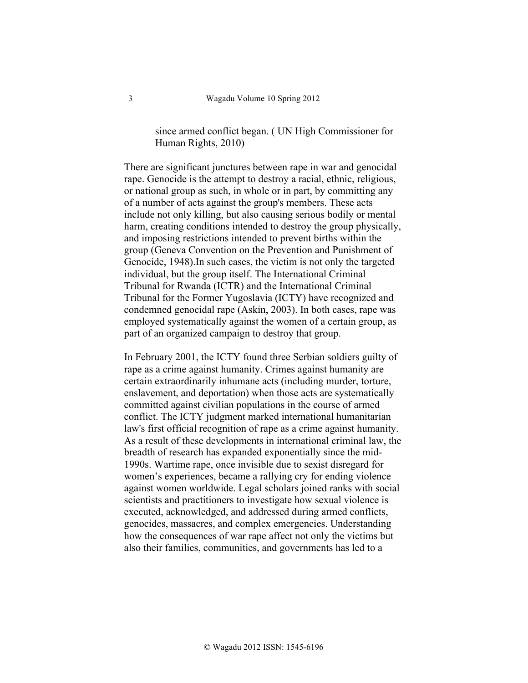# since armed conflict began. ( UN High Commissioner for Human Rights, 2010)

There are significant junctures between rape in war and genocidal rape. Genocide is the attempt to destroy a racial, ethnic, religious, or national group as such, in whole or in part, by committing any of a number of acts against the group's members. These acts include not only killing, but also causing serious bodily or mental harm, creating conditions intended to destroy the group physically, and imposing restrictions intended to prevent births within the group (Geneva Convention on the Prevention and Punishment of Genocide, 1948).In such cases, the victim is not only the targeted individual, but the group itself. The International Criminal Tribunal for Rwanda (ICTR) and the International Criminal Tribunal for the Former Yugoslavia (ICTY) have recognized and condemned genocidal rape (Askin, 2003). In both cases, rape was employed systematically against the women of a certain group, as part of an organized campaign to destroy that group.

In February 2001, the ICTY found three Serbian soldiers guilty of rape as a crime against humanity. Crimes against humanity are certain extraordinarily inhumane acts (including murder, torture, enslavement, and deportation) when those acts are systematically committed against civilian populations in the course of armed conflict. The ICTY judgment marked international humanitarian law's first official recognition of rape as a crime against humanity. As a result of these developments in international criminal law, the breadth of research has expanded exponentially since the mid-1990s. Wartime rape, once invisible due to sexist disregard for women's experiences, became a rallying cry for ending violence against women worldwide. Legal scholars joined ranks with social scientists and practitioners to investigate how sexual violence is executed, acknowledged, and addressed during armed conflicts, genocides, massacres, and complex emergencies. Understanding how the consequences of war rape affect not only the victims but also their families, communities, and governments has led to a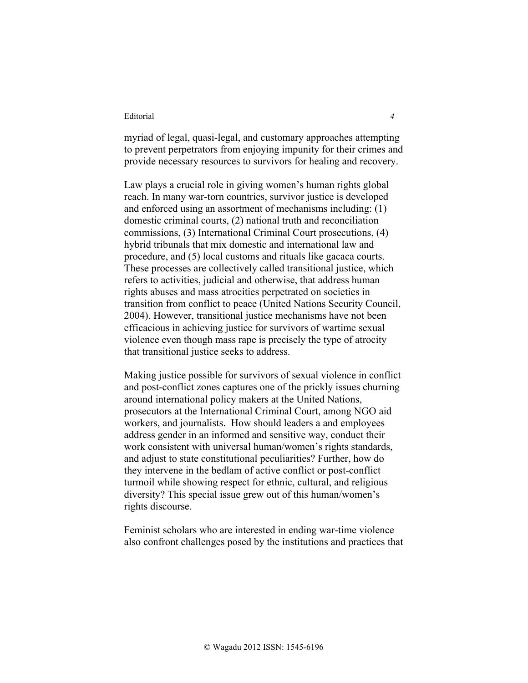myriad of legal, quasi-legal, and customary approaches attempting to prevent perpetrators from enjoying impunity for their crimes and provide necessary resources to survivors for healing and recovery.

Law plays a crucial role in giving women's human rights global reach. In many war-torn countries, survivor justice is developed and enforced using an assortment of mechanisms including: (1) domestic criminal courts, (2) national truth and reconciliation commissions, (3) International Criminal Court prosecutions, (4) hybrid tribunals that mix domestic and international law and procedure, and (5) local customs and rituals like gacaca courts. These processes are collectively called transitional justice, which refers to activities, judicial and otherwise, that address human rights abuses and mass atrocities perpetrated on societies in transition from conflict to peace (United Nations Security Council, 2004). However, transitional justice mechanisms have not been efficacious in achieving justice for survivors of wartime sexual violence even though mass rape is precisely the type of atrocity that transitional justice seeks to address.

Making justice possible for survivors of sexual violence in conflict and post-conflict zones captures one of the prickly issues churning around international policy makers at the United Nations, prosecutors at the International Criminal Court, among NGO aid workers, and journalists. How should leaders a and employees address gender in an informed and sensitive way, conduct their work consistent with universal human/women's rights standards, and adjust to state constitutional peculiarities? Further, how do they intervene in the bedlam of active conflict or post-conflict turmoil while showing respect for ethnic, cultural, and religious diversity? This special issue grew out of this human/women's rights discourse.

Feminist scholars who are interested in ending war-time violence also confront challenges posed by the institutions and practices that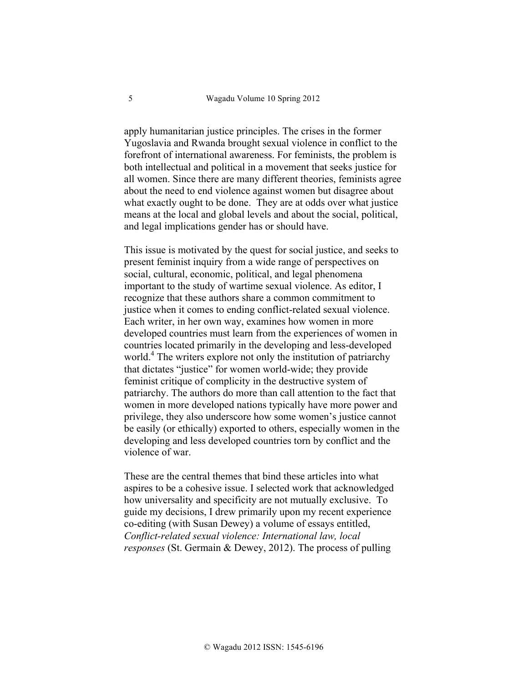apply humanitarian justice principles. The crises in the former Yugoslavia and Rwanda brought sexual violence in conflict to the forefront of international awareness. For feminists, the problem is both intellectual and political in a movement that seeks justice for all women. Since there are many different theories, feminists agree about the need to end violence against women but disagree about what exactly ought to be done. They are at odds over what justice means at the local and global levels and about the social, political, and legal implications gender has or should have.

This issue is motivated by the quest for social justice, and seeks to present feminist inquiry from a wide range of perspectives on social, cultural, economic, political, and legal phenomena important to the study of wartime sexual violence. As editor, I recognize that these authors share a common commitment to justice when it comes to ending conflict-related sexual violence. Each writer, in her own way, examines how women in more developed countries must learn from the experiences of women in countries located primarily in the developing and less-developed world. <sup>4</sup> The writers explore not only the institution of patriarchy that dictates "justice" for women world-wide; they provide feminist critique of complicity in the destructive system of patriarchy. The authors do more than call attention to the fact that women in more developed nations typically have more power and privilege, they also underscore how some women's justice cannot be easily (or ethically) exported to others, especially women in the developing and less developed countries torn by conflict and the violence of war.

These are the central themes that bind these articles into what aspires to be a cohesive issue. I selected work that acknowledged how universality and specificity are not mutually exclusive. To guide my decisions, I drew primarily upon my recent experience co-editing (with Susan Dewey) a volume of essays entitled, *Conflict-related sexual violence: International law, local responses* (St. Germain & Dewey, 2012). The process of pulling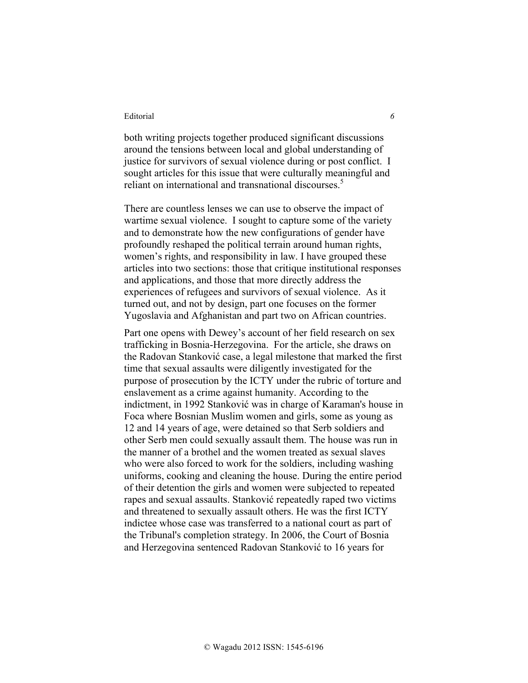both writing projects together produced significant discussions around the tensions between local and global understanding of justice for survivors of sexual violence during or post conflict. I sought articles for this issue that were culturally meaningful and reliant on international and transnational discourses. 5

There are countless lenses we can use to observe the impact of wartime sexual violence. I sought to capture some of the variety and to demonstrate how the new configurations of gender have profoundly reshaped the political terrain around human rights, women's rights, and responsibility in law. I have grouped these articles into two sections: those that critique institutional responses and applications, and those that more directly address the experiences of refugees and survivors of sexual violence. As it turned out, and not by design, part one focuses on the former Yugoslavia and Afghanistan and part two on African countries.

Part one opens with Dewey's account of her field research on sex trafficking in Bosnia-Herzegovina. For the article, she draws on the Radovan Stanković case, a legal milestone that marked the first time that sexual assaults were diligently investigated for the purpose of prosecution by the ICTY under the rubric of torture and enslavement as a crime against humanity. According to the indictment, in 1992 Stanković was in charge of Karaman's house in Foca where Bosnian Muslim women and girls, some as young as 12 and 14 years of age, were detained so that Serb soldiers and other Serb men could sexually assault them. The house was run in the manner of a brothel and the women treated as sexual slaves who were also forced to work for the soldiers, including washing uniforms, cooking and cleaning the house. During the entire period of their detention the girls and women were subjected to repeated rapes and sexual assaults. Stanković repeatedly raped two victims and threatened to sexually assault others. He was the first ICTY indictee whose case was transferred to a national court as part of the Tribunal's completion strategy. In 2006, the Court of Bosnia and Herzegovina sentenced Radovan Stanković to 16 years for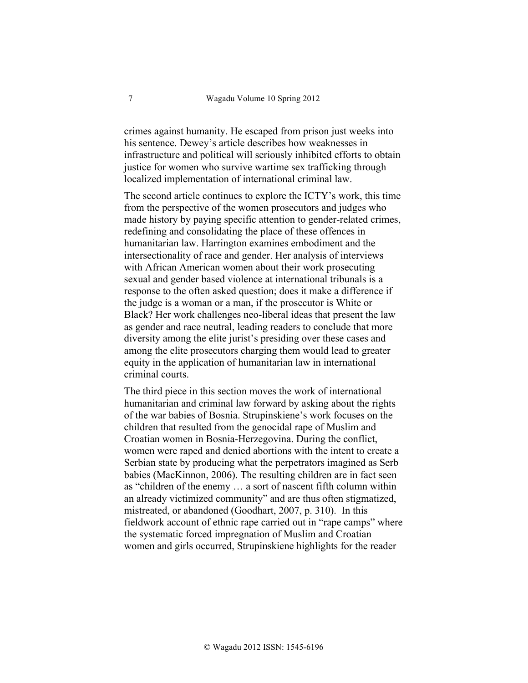crimes against humanity. He escaped from prison just weeks into his sentence. Dewey's article describes how weaknesses in infrastructure and political will seriously inhibited efforts to obtain justice for women who survive wartime sex trafficking through localized implementation of international criminal law.

The second article continues to explore the ICTY's work, this time from the perspective of the women prosecutors and judges who made history by paying specific attention to gender-related crimes, redefining and consolidating the place of these offences in humanitarian law. Harrington examines embodiment and the intersectionality of race and gender. Her analysis of interviews with African American women about their work prosecuting sexual and gender based violence at international tribunals is a response to the often asked question; does it make a difference if the judge is a woman or a man, if the prosecutor is White or Black? Her work challenges neo-liberal ideas that present the law as gender and race neutral, leading readers to conclude that more diversity among the elite jurist's presiding over these cases and among the elite prosecutors charging them would lead to greater equity in the application of humanitarian law in international criminal courts.

The third piece in this section moves the work of international humanitarian and criminal law forward by asking about the rights of the war babies of Bosnia. Strupinskiene's work focuses on the children that resulted from the genocidal rape of Muslim and Croatian women in Bosnia-Herzegovina. During the conflict, women were raped and denied abortions with the intent to create a Serbian state by producing what the perpetrators imagined as Serb babies (MacKinnon, 2006). The resulting children are in fact seen as "children of the enemy … a sort of nascent fifth column within an already victimized community" and are thus often stigmatized, mistreated, or abandoned (Goodhart, 2007, p. 310). In this fieldwork account of ethnic rape carried out in "rape camps" where the systematic forced impregnation of Muslim and Croatian women and girls occurred, Strupinskiene highlights for the reader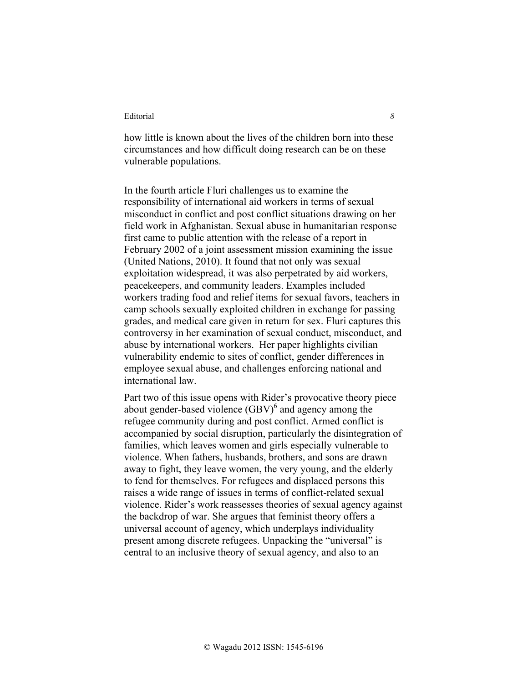how little is known about the lives of the children born into these circumstances and how difficult doing research can be on these vulnerable populations.

In the fourth article Fluri challenges us to examine the responsibility of international aid workers in terms of sexual misconduct in conflict and post conflict situations drawing on her field work in Afghanistan. Sexual abuse in humanitarian response first came to public attention with the release of a report in February 2002 of a joint assessment mission examining the issue (United Nations, 2010). It found that not only was sexual exploitation widespread, it was also perpetrated by aid workers, peacekeepers, and community leaders. Examples included workers trading food and relief items for sexual favors, teachers in camp schools sexually exploited children in exchange for passing grades, and medical care given in return for sex. Fluri captures this controversy in her examination of sexual conduct, misconduct, and abuse by international workers. Her paper highlights civilian vulnerability endemic to sites of conflict, gender differences in employee sexual abuse, and challenges enforcing national and international law.

Part two of this issue opens with Rider's provocative theory piece about gender-based violence (GBV)<sup>6</sup> and agency among the refugee community during and post conflict. Armed conflict is accompanied by social disruption, particularly the disintegration of families, which leaves women and girls especially vulnerable to violence. When fathers, husbands, brothers, and sons are drawn away to fight, they leave women, the very young, and the elderly to fend for themselves. For refugees and displaced persons this raises a wide range of issues in terms of conflict-related sexual violence. Rider's work reassesses theories of sexual agency against the backdrop of war. She argues that feminist theory offers a universal account of agency, which underplays individuality present among discrete refugees. Unpacking the "universal" is central to an inclusive theory of sexual agency, and also to an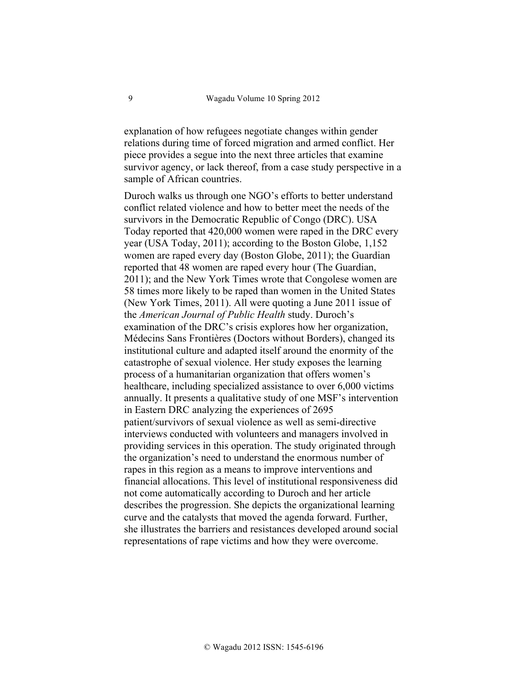explanation of how refugees negotiate changes within gender relations during time of forced migration and armed conflict. Her piece provides a segue into the next three articles that examine survivor agency, or lack thereof, from a case study perspective in a sample of African countries.

Duroch walks us through one NGO's efforts to better understand conflict related violence and how to better meet the needs of the survivors in the Democratic Republic of Congo (DRC). USA Today reported that 420,000 women were raped in the DRC every year (USA Today, 2011); according to the Boston Globe, 1,152 women are raped every day (Boston Globe, 2011); the Guardian reported that 48 women are raped every hour (The Guardian, 2011); and the New York Times wrote that Congolese women are 58 times more likely to be raped than women in the United States (New York Times, 2011). All were quoting a June 2011 issue of the *American Journal of Public Health* study. Duroch's examination of the DRC's crisis explores how her organization, Médecins Sans Frontières (Doctors without Borders), changed its institutional culture and adapted itself around the enormity of the catastrophe of sexual violence. Her study exposes the learning process of a humanitarian organization that offers women's healthcare, including specialized assistance to over 6,000 victims annually. It presents a qualitative study of one MSF's intervention in Eastern DRC analyzing the experiences of 2695 patient/survivors of sexual violence as well as semi-directive interviews conducted with volunteers and managers involved in providing services in this operation. The study originated through the organization's need to understand the enormous number of rapes in this region as a means to improve interventions and financial allocations. This level of institutional responsiveness did not come automatically according to Duroch and her article describes the progression. She depicts the organizational learning curve and the catalysts that moved the agenda forward. Further, she illustrates the barriers and resistances developed around social representations of rape victims and how they were overcome.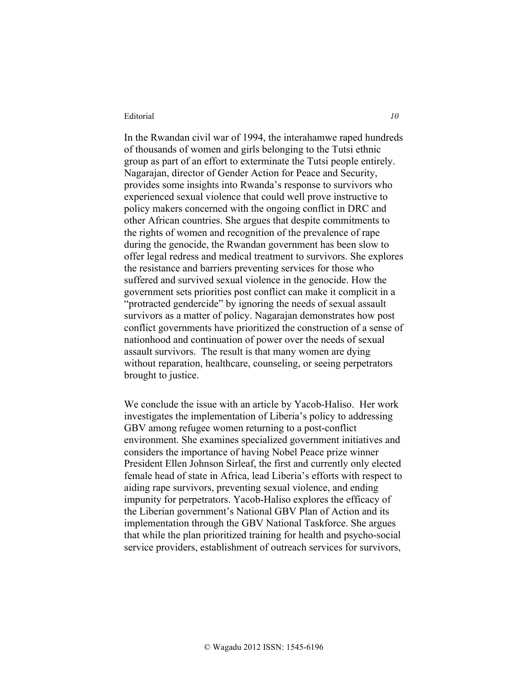In the Rwandan civil war of 1994, the interahamwe raped hundreds of thousands of women and girls belonging to the Tutsi ethnic group as part of an effort to exterminate the Tutsi people entirely. Nagarajan, director of Gender Action for Peace and Security, provides some insights into Rwanda's response to survivors who experienced sexual violence that could well prove instructive to policy makers concerned with the ongoing conflict in DRC and other African countries. She argues that despite commitments to the rights of women and recognition of the prevalence of rape during the genocide, the Rwandan government has been slow to offer legal redress and medical treatment to survivors. She explores the resistance and barriers preventing services for those who suffered and survived sexual violence in the genocide. How the government sets priorities post conflict can make it complicit in a "protracted gendercide" by ignoring the needs of sexual assault survivors as a matter of policy. Nagarajan demonstrates how post conflict governments have prioritized the construction of a sense of nationhood and continuation of power over the needs of sexual assault survivors. The result is that many women are dying without reparation, healthcare, counseling, or seeing perpetrators brought to justice.

We conclude the issue with an article by Yacob-Haliso. Her work investigates the implementation of Liberia's policy to addressing GBV among refugee women returning to a post-conflict environment. She examines specialized government initiatives and considers the importance of having Nobel Peace prize winner President Ellen Johnson Sirleaf, the first and currently only elected female head of state in Africa, lead Liberia's efforts with respect to aiding rape survivors, preventing sexual violence, and ending impunity for perpetrators. Yacob-Haliso explores the efficacy of the Liberian government's National GBV Plan of Action and its implementation through the GBV National Taskforce. She argues that while the plan prioritized training for health and psycho-social service providers, establishment of outreach services for survivors,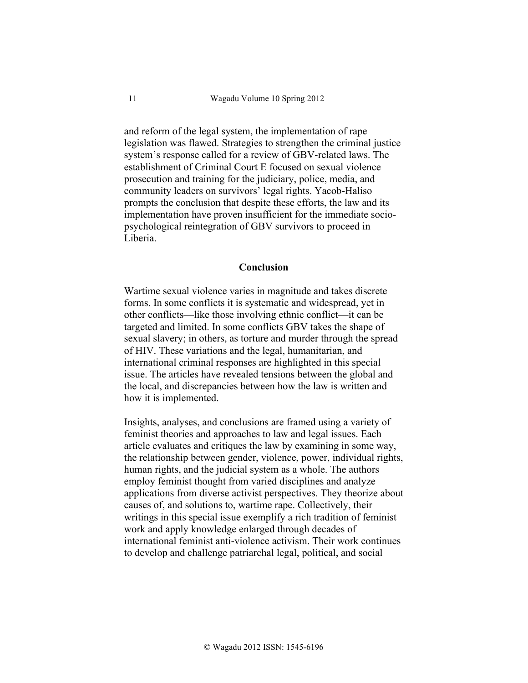and reform of the legal system, the implementation of rape legislation was flawed. Strategies to strengthen the criminal justice system's response called for a review of GBV-related laws. The establishment of Criminal Court E focused on sexual violence prosecution and training for the judiciary, police, media, and community leaders on survivors' legal rights. Yacob-Haliso prompts the conclusion that despite these efforts, the law and its implementation have proven insufficient for the immediate sociopsychological reintegration of GBV survivors to proceed in Liberia.

### **Conclusion**

Wartime sexual violence varies in magnitude and takes discrete forms. In some conflicts it is systematic and widespread, yet in other conflicts—like those involving ethnic conflict—it can be targeted and limited. In some conflicts GBV takes the shape of sexual slavery; in others, as torture and murder through the spread of HIV. These variations and the legal, humanitarian, and international criminal responses are highlighted in this special issue. The articles have revealed tensions between the global and the local, and discrepancies between how the law is written and how it is implemented.

Insights, analyses, and conclusions are framed using a variety of feminist theories and approaches to law and legal issues. Each article evaluates and critiques the law by examining in some way, the relationship between gender, violence, power, individual rights, human rights, and the judicial system as a whole. The authors employ feminist thought from varied disciplines and analyze applications from diverse activist perspectives. They theorize about causes of, and solutions to, wartime rape. Collectively, their writings in this special issue exemplify a rich tradition of feminist work and apply knowledge enlarged through decades of international feminist anti-violence activism. Their work continues to develop and challenge patriarchal legal, political, and social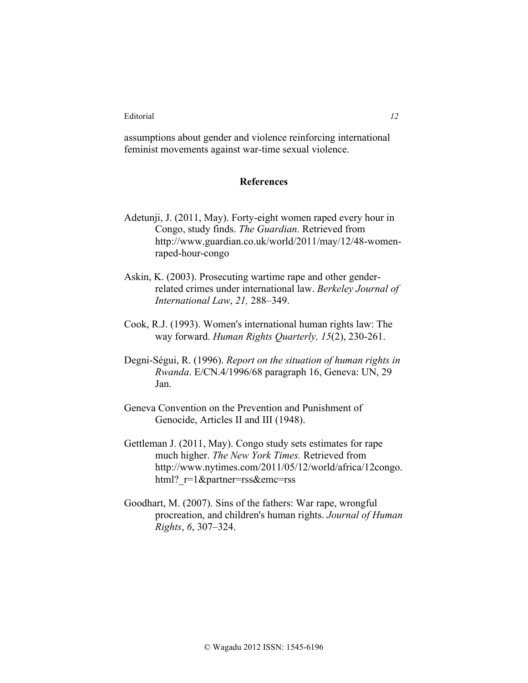assumptions about gender and violence reinforcing international feminist movements against war-time sexual violence.

### **References**

- Adetunji, J. (2011, May). Forty-eight women raped every hour in Congo, study finds. *The Guardian.* Retrieved from http://www.guardian.co.uk/world/2011/may/12/48-womenraped-hour-congo
- Askin, K. (2003). Prosecuting wartime rape and other genderrelated crimes under international law. *Berkeley Journal of International Law*, *21,* 288–349.
- Cook, R.J. (1993). Women's international human rights law: The way forward. *Human Rights Quarterly, 15*(2), 230-261.
- Degni-Ségui, R. (1996). *Report on the situation of human rights in Rwanda*. E/CN.4/1996/68 paragraph 16, Geneva: UN, 29 Jan.
- Geneva Convention on the Prevention and Punishment of Genocide, Articles II and III (1948).
- Gettleman J. (2011, May). Congo study sets estimates for rape much higher. *The New York Times.* Retrieved from http://www.nytimes.com/2011/05/12/world/africa/12congo. html? r=1&partner=rss&emc=rss
- Goodhart, M. (2007). Sins of the fathers: War rape, wrongful procreation, and children's human rights. *Journal of Human Rights*, *6*, 307–324.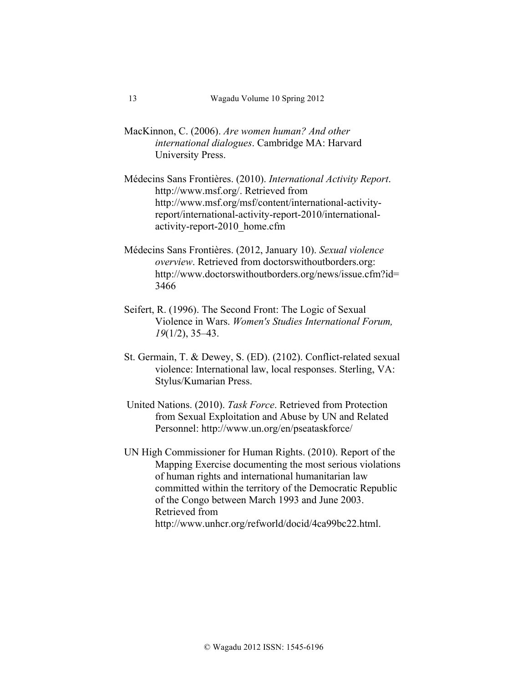- MacKinnon, C. (2006). *Are women human? And other international dialogues*. Cambridge MA: Harvard University Press.
- Médecins Sans Frontières. (2010). *International Activity Report*. http://www.msf.org/. Retrieved from http://www.msf.org/msf/content/international-activityreport/international-activity-report-2010/internationalactivity-report-2010\_home.cfm
- Médecins Sans Frontières. (2012, January 10). *Sexual violence overview*. Retrieved from doctorswithoutborders.org: http://www.doctorswithoutborders.org/news/issue.cfm?id= 3466
- Seifert, R. (1996). The Second Front: The Logic of Sexual Violence in Wars. *Women's Studies International Forum, 19*(1/2), 35–43.
- St. Germain, T. & Dewey, S. (ED). (2102). Conflict-related sexual violence: International law, local responses. Sterling, VA: Stylus/Kumarian Press.
- United Nations. (2010). *Task Force*. Retrieved from Protection from Sexual Exploitation and Abuse by UN and Related Personnel: http://www.un.org/en/pseataskforce/
- UN High Commissioner for Human Rights. (2010). Report of the Mapping Exercise documenting the most serious violations of human rights and international humanitarian law committed within the territory of the Democratic Republic of the Congo between March 1993 and June 2003. Retrieved from http://www.unhcr.org/refworld/docid/4ca99bc22.html.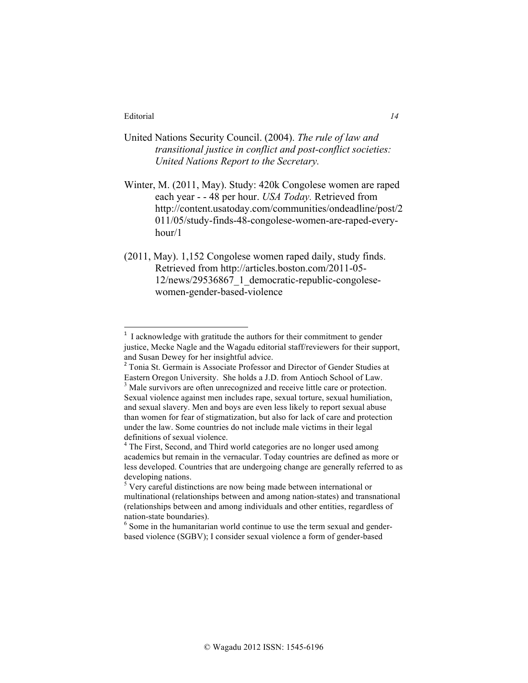- United Nations Security Council. (2004). *The rule of law and transitional justice in conflict and post-conflict societies: United Nations Report to the Secretary.*
- Winter, M. (2011, May). Study: 420k Congolese women are raped each year - - 48 per hour. *USA Today.* Retrieved from http://content.usatoday.com/communities/ondeadline/post/2 011/05/study-finds-48-congolese-women-are-raped-everyhour/1
- (2011, May). 1,152 Congolese women raped daily, study finds. Retrieved from http://articles.boston.com/2011-05- 12/news/29536867\_1\_democratic-republic-congolesewomen-gender-based-violence

I acknowledge with gratitude the authors for their commitment to gender justice, Mecke Nagle and the Wagadu editorial staff/reviewers for their support, and Susan Dewey for her insightful advice.

<sup>2</sup> Tonia St. Germain is Associate Professor and Director of Gender Studies at Eastern Oregon University. She holds a J.D. from Antioch School of Law. <sup>3</sup> Male survivors are often unrecognized and receive little care or protection. Sexual violence against men includes rape, sexual torture, sexual humiliation, and sexual slavery. Men and boys are even less likely to report sexual abuse than women for fear of stigmatization, but also for lack of care and protection under the law. Some countries do not include male victims in their legal definitions of sexual violence.

<sup>&</sup>lt;sup>4</sup> The First, Second, and Third world categories are no longer used among academics but remain in the vernacular. Today countries are defined as more or less developed. Countries that are undergoing change are generally referred to as developing nations.

 $5$  Very careful distinctions are now being made between international or multinational (relationships between and among nation-states) and transnational (relationships between and among individuals and other entities, regardless of nation-state boundaries). <sup>6</sup> Some in the humanitarian world continue to use the term sexual and gender-

based violence (SGBV); I consider sexual violence a form of gender-based